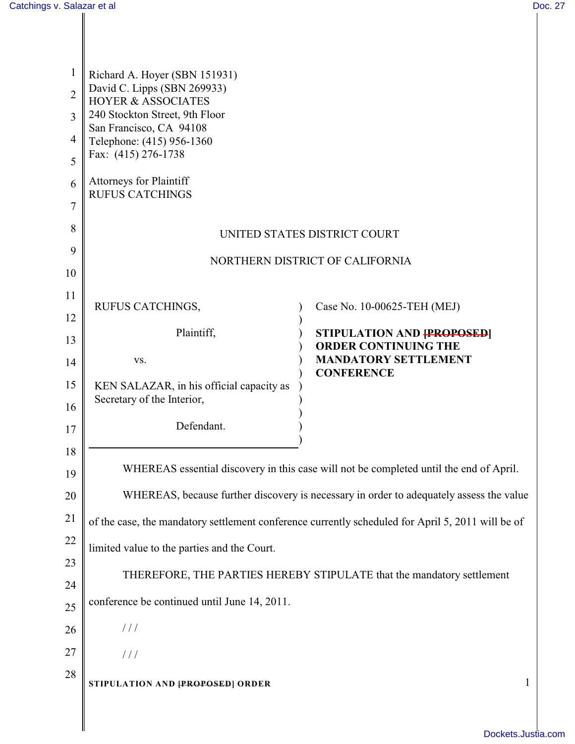| $\mathbf{1}$   | Richard A. Hoyer (SBN 151931)<br>David C. Lipps (SBN 269933)<br><b>HOYER &amp; ASSOCIATES</b><br>240 Stockton Street, 9th Floor<br>San Francisco, CA 94108 |                                                  |  |
|----------------|------------------------------------------------------------------------------------------------------------------------------------------------------------|--------------------------------------------------|--|
| $\overline{2}$ |                                                                                                                                                            |                                                  |  |
| 3              |                                                                                                                                                            |                                                  |  |
| 4              | Telephone: (415) 956-1360<br>Fax: (415) 276-1738                                                                                                           |                                                  |  |
| 5              |                                                                                                                                                            |                                                  |  |
| 6              | <b>Attorneys for Plaintiff</b><br><b>RUFUS CATCHINGS</b>                                                                                                   |                                                  |  |
| 7              |                                                                                                                                                            |                                                  |  |
| 8              | UNITED STATES DISTRICT COURT                                                                                                                               |                                                  |  |
| 9              | NORTHERN DISTRICT OF CALIFORNIA                                                                                                                            |                                                  |  |
| 10             |                                                                                                                                                            |                                                  |  |
| 11             | RUFUS CATCHINGS,                                                                                                                                           | Case No. 10-00625-TEH (MEJ)                      |  |
| 12             | Plaintiff,                                                                                                                                                 | <b>STIPULATION AND [PROPOSED]</b>                |  |
| 13             |                                                                                                                                                            | <b>ORDER CONTINUING THE</b>                      |  |
| 14             | VS.                                                                                                                                                        | <b>MANDATORY SETTLEMENT</b><br><b>CONFERENCE</b> |  |
| 15             | KEN SALAZAR, in his official capacity as<br>Secretary of the Interior,                                                                                     |                                                  |  |
| 16             |                                                                                                                                                            |                                                  |  |
| 17             | Defendant.                                                                                                                                                 |                                                  |  |
| 18             |                                                                                                                                                            |                                                  |  |
| 19             | WHEREAS essential discovery in this case will not be completed until the end of April.                                                                     |                                                  |  |
| 20             | WHEREAS, because further discovery is necessary in order to adequately assess the value                                                                    |                                                  |  |
| 21             | of the case, the mandatory settlement conference currently scheduled for April 5, 2011 will be of                                                          |                                                  |  |
| 22             | limited value to the parties and the Court.                                                                                                                |                                                  |  |
| 23             | THEREFORE, THE PARTIES HEREBY STIPULATE that the mandatory settlement                                                                                      |                                                  |  |
| 24             |                                                                                                                                                            |                                                  |  |
| 25             | conference be continued until June 14, 2011.                                                                                                               |                                                  |  |
| 26             | 111                                                                                                                                                        |                                                  |  |
| 27             | $\frac{1}{2}$                                                                                                                                              |                                                  |  |
| 28             | STIPULATION AND <b>[PROPOSED</b> ] ORDER                                                                                                                   | 1                                                |  |
|                |                                                                                                                                                            |                                                  |  |
|                |                                                                                                                                                            |                                                  |  |